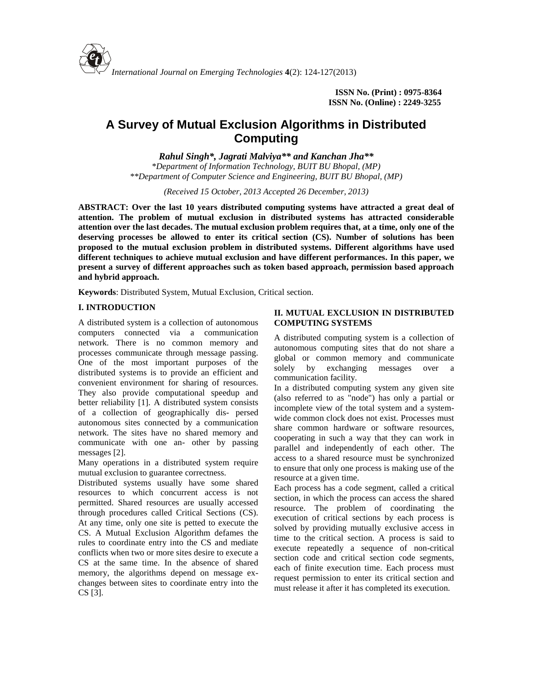

# **A Survey of Mutual Exclusion Algorithms in Distributed Computing**

*Rahul Singh\*, Jagrati Malviya\*\* and Kanchan Jha\*\**

*\*Department of Information Technology, BUIT BU Bhopal, (MP) \*\*Department of Computer Science and Engineering, BUIT BU Bhopal, (MP)*

*(Received 15 October, 2013 Accepted 26 December, 2013)*

**ABSTRACT: Over the last 10 years distributed computing systems have attracted a great deal of attention. The problem of mutual exclusion in distributed systems has attracted considerable attention over the last decades. The mutual exclusion problem requires that, at a time, only one of the deserving processes be allowed to enter its critical section (CS). Number of solutions has been proposed to the mutual exclusion problem in distributed systems. Different algorithms have used different techniques to achieve mutual exclusion and have different performances. In this paper, we present a survey of different approaches such as token based approach, permission based approach and hybrid approach.**

**Keywords**: Distributed System, Mutual Exclusion, Critical section.

## **I. INTRODUCTION**

A distributed system is a collection of autonomous computers connected via a communication network. There is no common memory and processes communicate through message passing. One of the most important purposes of the  $\frac{g_{10}}{g_{10}}$  solely distributed systems is to provide an efficient and convenient environment for sharing of resources. They also provide computational speedup and better reliability [1]. A distributed system consists of a collection of geographically dis- persed autonomous sites connected by a communication network. The sites have no shared memory and communicate with one an- other by passing messages [2].

Many operations in a distributed system require mutual exclusion to guarantee correctness.

Distributed systems usually have some shared resources to which concurrent access is not permitted. Shared resources are usually accessed through procedures called Critical Sections (CS). At any time, only one site is petted to execute the CS. A Mutual Exclusion Algorithm defames the rules to coordinate entry into the CS and mediate conflicts when two or more sites desire to execute a CS at the same time. In the absence of shared memory, the algorithms depend on message ex changes between sites to coordinate entry into the CS [3].

## **II. MUTUAL EXCLUSION IN DISTRIBUTED COMPUTING SYSTEMS**

A distributed computing system is a collection of autonomous computing sites that do not share a global or common memory and communicate by exchanging messages over a communication facility.

In a distributed computing system any given site (also referred to as "node") has only a partial or incomplete view of the total system and a system wide common clock does not exist. Processes must share common hardware or software resources, cooperating in such a way that they can work in parallel and independently of each other. The access to a shared resource must be synchronized to ensure that only one process is making use of the resource at a given time.

Each process has a code segment, called a critical section, in which the process can access the shared resource. The problem of coordinating the execution of critical sections by each process is solved by providing mutually exclusive access in time to the critical section. A process is said to execute repeatedly a sequence of non-critical section code and critical section code segments, each of finite execution time. Each process must request permission to enter its critical section and must release it after it has completed its execution.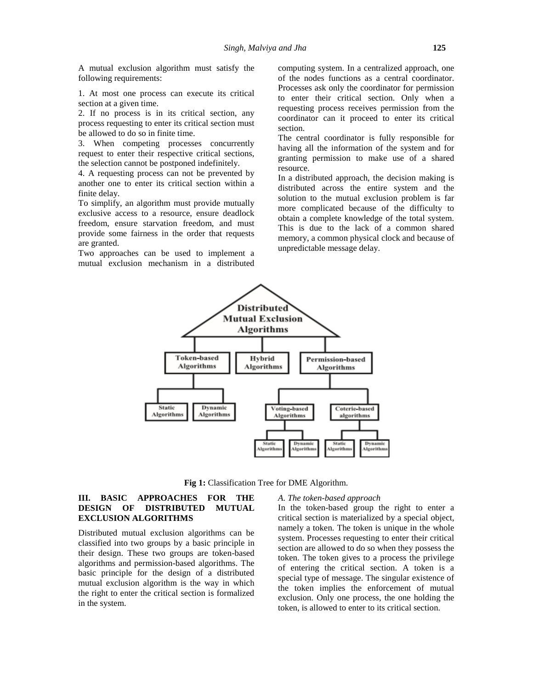A mutual exclusion algorithm must satisfy the following requirements:

1. At most one process can execute its critical section at a given time.

2. If no process is in its critical section, any process requesting to enter its critical section must be allowed to do so in finite time.

3. When competing processes concurrently request to enter their respective critical sections, the selection cannot be postponed indefinitely.

4. A requesting process can not be prevented by another one to enter its critical section within a finite delay.

To simplify, an algorithm must provide mutually exclusive access to a resource, ensure deadlock freedom, ensure starvation freedom, and must provide some fairness in the order that requests are granted.

Two approaches can be used to implement a mutual exclusion mechanism in a distributed computing system. In a centralized approach, one of the nodes functions as a central coordinator. Processes ask only the coordinator for permission to enter their critical section. Only when a requesting process receives permission from the coordinator can it proceed to enter its critical section.

The central coordinator is fully responsible for having all the information of the system and for granting permission to make use of a shared resource.

In a distributed approach, the decision making is distributed across the entire system and the solution to the mutual exclusion problem is far more complicated because of the difficulty to obtain a complete knowledge of the total system. This is due to the lack of a common shared memory, a common physical clock and because of unpredictable message delay.



**Fig 1:** Classification Tree for DME Algorithm.

## **III. BASIC APPROACHES FOR THE DESIGN OF DISTRIBUTED MUTUAL EXCLUSION ALGORITHMS**

Distributed mutual exclusion algorithms can be classified into two groups by a basic principle in their design. These two groups are token-based algorithms and permission-based algorithms. The basic principle for the design of a distributed mutual exclusion algorithm is the way in which the right to enter the critical section is formalized in the system.

### *A. The token-based approach*

In the token-based group the right to enter a critical section is materialized by a special object, namely a token. The token is unique in the whole system. Processes requesting to enter their critical section are allowed to do so when they possess the token. The token gives to a process the privilege of entering the critical section. A token is a special type of message. The singular existence of the token implies the enforcement of mutual exclusion. Only one process, the one holding the token, is allowed to enter to its critical section.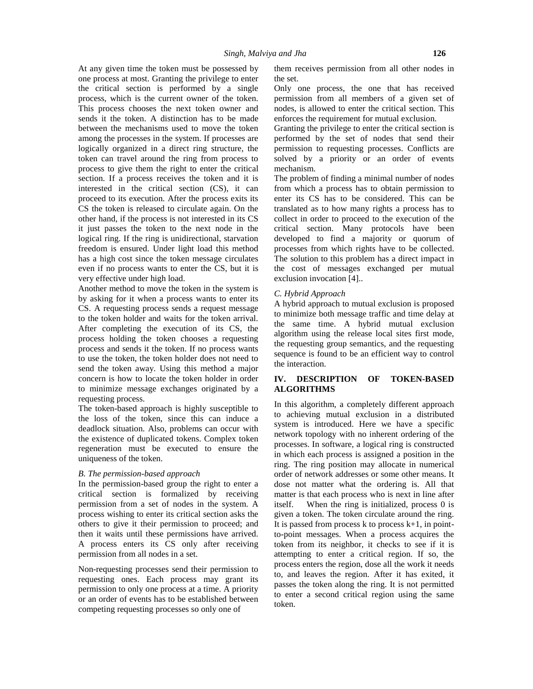At any given time the token must be possessed by one process at most. Granting the privilege to enter the critical section is performed by a single process, which is the current owner of the token. This process chooses the next token owner and sends it the token. A distinction has to be made between the mechanisms used to move the token among the processes in the system. If processes are logically organized in a direct ring structure, the token can travel around the ring from process to process to give them the right to enter the critical section. If a process receives the token and it is interested in the critical section (CS), it can proceed to its execution. After the process exits its CS the token is released to circulate again. On the other hand, if the process is not interested in its CS it just passes the token to the next node in the logical ring. If the ring is unidirectional, starvation freedom is ensured. Under light load this method has a high cost since the token message circulates even if no process wants to enter the CS, but it is very effective under high load.

Another method to move the token in the system is by asking for it when a process wants to enter its CS. A requesting process sends a request message to the token holder and waits for the token arrival. After completing the execution of its CS, the process holding the token chooses a requesting process and sends it the token. If no process wants to use the token, the token holder does not need to send the token away. Using this method a major concern is how to locate the token holder in order to minimize message exchanges originated by a requesting process.

The token-based approach is highly susceptible to the loss of the token, since this can induce a deadlock situation. Also, problems can occur with the existence of duplicated tokens. Complex token regeneration must be executed to ensure the uniqueness of the token.

## *B. The permission-based approach*

In the permission-based group the right to enter a critical section is formalized by receiving permission from a set of nodes in the system. A process wishing to enter its critical section asks the others to give it their permission to proceed; and then it waits until these permissions have arrived. A process enters its CS only after receiving permission from all nodes in a set.

Non-requesting processes send their permission to requesting ones. Each process may grant its permission to only one process at a time. A priority or an order of events has to be established between competing requesting processes so only one of

them receives permission from all other nodes in the set.

Only one process, the one that has received permission from all members of a given set of nodes, is allowed to enter the critical section. This enforces the requirement for mutual exclusion.

Granting the privilege to enter the critical section is performed by the set of nodes that send their permission to requesting processes. Conflicts are solved by a priority or an order of events mechanism.

The problem of finding a minimal number of nodes from which a process has to obtain permission to enter its CS has to be considered. This can be translated as to how many rights a process has to collect in order to proceed to the execution of the critical section. Many protocols have been developed to find a majority or quorum of processes from which rights have to be collected. The solution to this problem has a direct impact in the cost of messages exchanged per mutual exclusion invocation [4]..

#### *C. Hybrid Approach*

A hybrid approach to mutual exclusion is proposed to minimize both message traffic and time delay at the same time. A hybrid mutual exclusion algorithm using the release local sites first mode, the requesting group semantics, and the requesting sequence is found to be an efficient way to control the interaction.

## **IV. DESCRIPTION OF TOKEN-BASED ALGORITHMS**

In this algorithm, a completely different approach to achieving mutual exclusion in a distributed system is introduced. Here we have a specific network topology with no inherent ordering of the processes. In software, a logical ring is constructed in which each process is assigned a position in the ring. The ring position may allocate in numerical order of network addresses or some other means. It dose not matter what the ordering is. All that matter is that each process who is next in line after When the ring is initialized, process  $0$  is given a token. The token circulate around the ring. It is passed from process  $k$  to process  $k+1$ , in pointto-point messages. When a process acquires the token from its neighbor, it checks to see if it is attempting to enter a critical region. If so, the process enters the region, dose all the work it needs to, and leaves the region. After it has exited, it passes the token along the ring. It is not permitted to enter a second critical region using the same token.